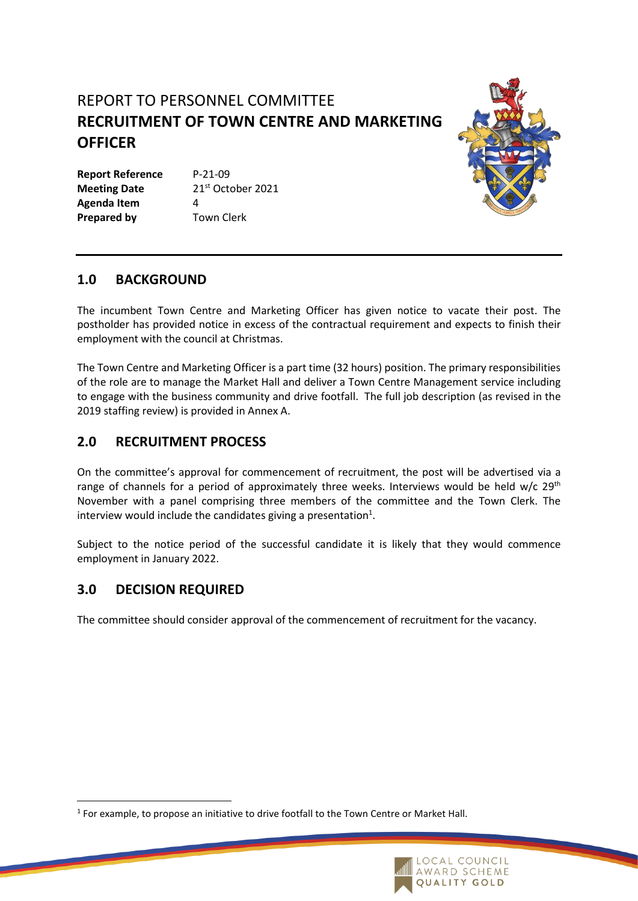# REPORT TO PERSONNEL COMMITTEE **RECRUITMENT OF TOWN CENTRE AND MARKETING OFFICER**

**Report Reference** P-21-09 **Meeting Date** 21<sup>st</sup> October 2021 **Agenda Item** 4 **Prepared by Town Clerk** 



## **1.0 BACKGROUND**

The incumbent Town Centre and Marketing Officer has given notice to vacate their post. The postholder has provided notice in excess of the contractual requirement and expects to finish their employment with the council at Christmas.

The Town Centre and Marketing Officer is a part time (32 hours) position. The primary responsibilities of the role are to manage the Market Hall and deliver a Town Centre Management service including to engage with the business community and drive footfall. The full job description (as revised in the 2019 staffing review) is provided in Annex A.

### **2.0 RECRUITMENT PROCESS**

On the committee's approval for commencement of recruitment, the post will be advertised via a range of channels for a period of approximately three weeks. Interviews would be held w/c 29<sup>th</sup> November with a panel comprising three members of the committee and the Town Clerk. The interview would include the candidates giving a presentation<sup>1</sup>.

Subject to the notice period of the successful candidate it is likely that they would commence employment in January 2022.

### **3.0 DECISION REQUIRED**

The committee should consider approval of the commencement of recruitment for the vacancy.

 $<sup>1</sup>$  For example, to propose an initiative to drive footfall to the Town Centre or Market Hall.</sup>